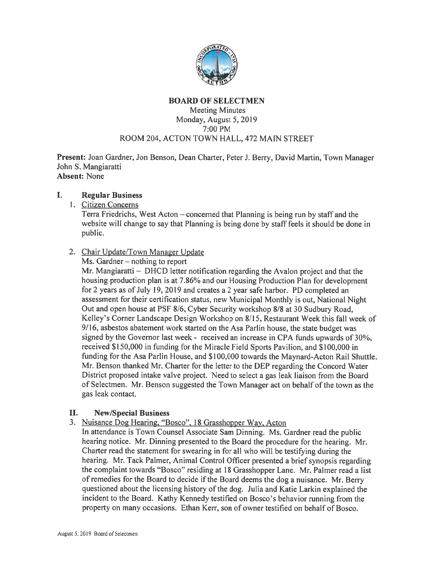

## BOARD OF SELECTMEN Meeting Minutes Monday, August 5, 2019 7:00 PM ROOM 204, ACTON TOWN HALL, 472 MAIN STREET

Present: Joan Gardner, Jon Benson, Dean Charter, Peter J. Berry, David Martin, Town Manager John S. Mangiaratti Absent: None

#### Regular Business  $\mathbf{I}$ .

1. Citizen Concerns

Terra Friedrichs, West Acton — concerned that Planning is being run by staff and the website will change to say that Planning is being done by staff feels it should be done in public.

# 2. Chair Update/Town Manager Update

Ms. Gardner — nothing to repor<sup>t</sup>

Mr. Mangiaratti — DHCD letter notification regarding the Avalon project and that the housing production plan is at 7.86% and our Housing Production Plan for development for 2 years as of July 19, 2019 and creates a 2 year safe harbor. PD completed an assessment for their certification status, new Municipal Monthly is out, National Night Out and open house at PSF 8/6, Cyber Security workshop 8/8 at 30 Sudbury Road, Kelley's Corner Landscape Design Workshop on 8/15, Restaurant Week this fall week of 9/16, asbestos abatement work started on the Asa Parlin house, the state budget was signed by the Governor last week - received an increase in CPA funds upwards of 30%, received \$150,000 in funding for the Miracle Field Sports Pavilion, and \$100,000 in funding for the Asa Parlin House, and \$100,000 towards the Maynard-Acton Rail Shuttle. Mr. Benson thanked Mr. Charter for the letter to the DEP regarding the Concord Water District proposed intake valve project. Need to select <sup>a</sup> gas leak liaison from the Board of Selectmen. Mr. Benson suggested the Town Manager act on behalf of the town as the gas leak contact.

### II. New/Special Business

3. Nuisance Dog Hearing. "Bosco", <sup>18</sup> Grasshopper Way. Acton

In attendance is Town Counsel Associate Sam Dinning. Ms. Gardner read the public hearing notice. Mr. Dinning presented to the Board the procedure for the hearing. Mr. Charter read the statement for swearing in for all who will be testifying during the hearing. Mr. Tack Palmer, Animal Control Officer presented <sup>a</sup> brief synopsis regarding the complaint towards "Bosco" residing at 18 Grasshopper Lane. Mr. Palmer read <sup>a</sup> list of remedies for the Board to decide if the Board deems the dog <sup>a</sup> nuisance. Mr. Berry questioned about the licensing history of the dog. Julia and Katie Larkin explained the incident to the Board. Kathy Kennedy testified on Bosco's behavior running from the property on many occasions. Ethan Kerr, son of owner testified on behalf of Bosco.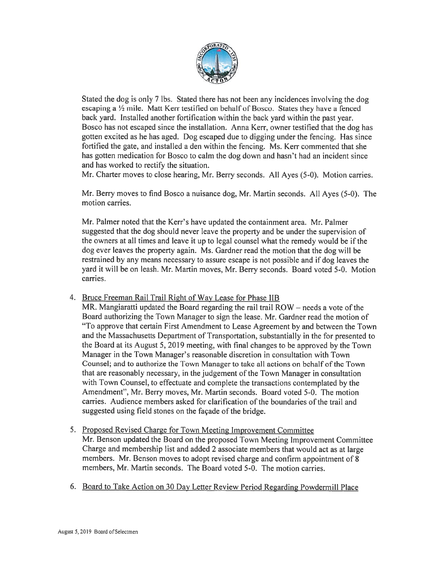

Stated the dog is only 7 lbs. Stated there has not been any incidences involving the dog escaping a  $\frac{1}{2}$  mile. Matt Kerr testified on behalf of Bosco. States they have a fenced back yard. Installed another fortification within the back yard within the pas<sup>t</sup> year. Bosco has not escaped since the installation. Anna Kerr, owner testified that the dog has gotten excited as he has aged. Dog escaped due to digging under the fencing. Has since fortified the gate, and installed <sup>a</sup> den within the fencing. Ms. Kerr commented that she has gotten medication for Bosco to calm the dog down and hasn't had an incident since and has worked to rectify the situation.

Mr. Charter moves to close hearing, Mr. Berry seconds. All Ayes (5-0). Motion carries.

Mr. Berry moves to find Bosco <sup>a</sup> nuisance dog, Mr. Martin seconds. All Ayes (5-0). The motion carries.

Mr. Palmer noted that the Kerr's have updated the containment area. Mr. Palmer suggested that the dog should never leave the property and be under the supervision of the owners at all times and leave it up to legal counsel what the remedy would be if the dog ever leaves the property again. Ms. Gardner read the motion that the dog will be restrained by any means necessary to assure escape is not possible and if dog leaves the yard it will be on leash. Mr. Martin moves, Mr. Berry seconds. Board voted 5-0. Motion carries.

4. Bruce Freeman Rail Trail Right of Way Lease for Phase IIB

MR. Mangiaratti updated the Board regarding the rail trail  $ROW$  – needs a vote of the Board authorizing the Town Manager to sign the lease. Mr. Gardner read the motion of "To approve that certain First Amendment to Lease Agreement by and between the Town and the Massachusetts Department of Transportation, substantially in the for presented to the Board at its August 5, 2019 meeting, with final changes to be approve<sup>d</sup> by the Town Manager in the Town Manager's reasonable discretion in consultation with Town Counsel; and to authorize the Town Manager to take all actions on behalf of the Town that are reasonably necessary, in the judgement of the Town Manager in consultation with Town Counsel, to effectuate and complete the transactions contemplated by the Amendment", Mr. Berry moves, Mr. Martin seconds. Board voted 5-0. The motion carries. Audience members asked for clarification of the boundaries of the trail and suggested using field stones on the façade of the bridge.

- 5. Proposed Revised Charge for Town Meeting Improvement Committee Mr. Benson updated the Board on the proposed Town Meeting Improvement Committee Charge and membership list and added <sup>2</sup> associate members that would act as at large members. Mr. Benson moves to adopt revised charge and confirm appointment of 8 members, Mr. Martin seconds. The Board voted 5-0. The motion carries.
- 6. Board to Take Action on <sup>30</sup> Day Letter Review Period Regarding Powdermill Place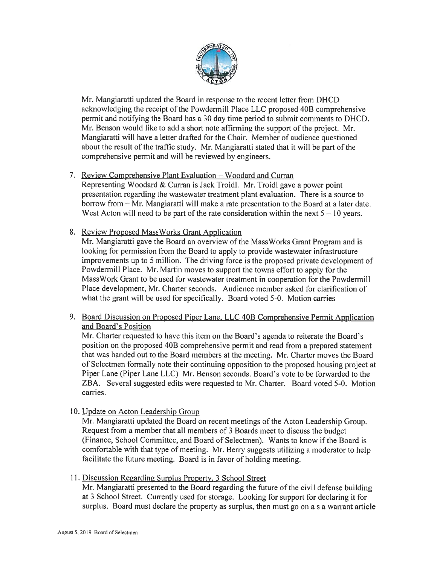

Mr. Mangiaratti updated the Board in response to the recent letter from DHCD acknowledging the receipt of the Powdermill Place LLC proposed 40B comprehensive permit and notifying the Board has <sup>a</sup> 30 day time period to submit comments to DHCD. Mr. Benson would like to add <sup>a</sup> short note affirming the suppor<sup>t</sup> of the project. Mr. Mangiaratti will have <sup>a</sup> letter drafted for the Chair. Member of audience questioned about the result of the traffic study. Mr. Mangiaratti stated that it will be part of the comprehensive permit and will be reviewed by engineers.

# 7. Review Comprehensive Plant Evaluation — Woodard and Curran

Representing Woodard & Curran is Jack Troidl. Mr. Troidl gave <sup>a</sup> power point presentation regarding the wastewater treatment plant evaluation. There is <sup>a</sup> source to borrow from — Mr. Mangiaratti will make <sup>a</sup> rate presentation to the Board at <sup>a</sup> later date. West Acton will need to be part of the rate consideration within the next  $5 - 10$  years.

8. Review Proposed MassWorks Grant Application

Mr. Mangiaratti gave the Board an overview of the MassWorks Grant Program and is looking for permission from the Board to apply to provide wastewater infrastructure improvements up to 5 million. The driving force is the proposed private development of Powdermill Place. Mr. Martin moves to suppor<sup>t</sup> the towns effort to apply for the MassWork Grant to be used for wastewater treatment in cooperation for the Powdermill Place development, Mr. Charter seconds. Audience member asked for clarification of what the gran<sup>t</sup> will be used for specifically. Board voted 5-0. Motion carries

9. Board Discussion on Proposed Piper Lane, LLC 40B Comprehensive Permit Application and Board's Position

Mr. Charter requested to have this item on the Board's agenda to reiterate the Board's position on the proposed 40B comprehensive permit and read from <sup>a</sup> prepared statement that was handed out to the Board members at the meeting. Mr. Charter moves the Board of Selectmen formally note their continuing opposition to the proposed housing project at Piper Lane (Piper Lane LLC) Mr. Benson seconds. Board's vote to be forwarded to the ZBA. Several suggested edits were requested to Mr. Charter. Board voted 5-0. Motion carries.

10. Update on Acton Leadership Group

Mr. Mangiaratti updated the Board on recent meetings of the Acton Leadership Group. Request from <sup>a</sup> member that all members of 3 Boards meet to discuss the budget (Finance, School Committee, and Board of Selectmen). Wants to know if the Board is comfortable with that type of meeting. Mr. Berry suggests utilizing <sup>a</sup> moderator to help facilitate the future meeting. Board is in favor of holding meeting.

11. Discussion Regarding Surplus Property. 3 School Street

Mr. Mangiaratti presented to the Board regarding the future of the civil defense building at 3 School Street. Currently used for storage. Looking for suppor<sup>t</sup> for declaring it for surplus. Board must declare the property as surplus, then must go on <sup>a</sup> <sup>s</sup> <sup>a</sup> warrant article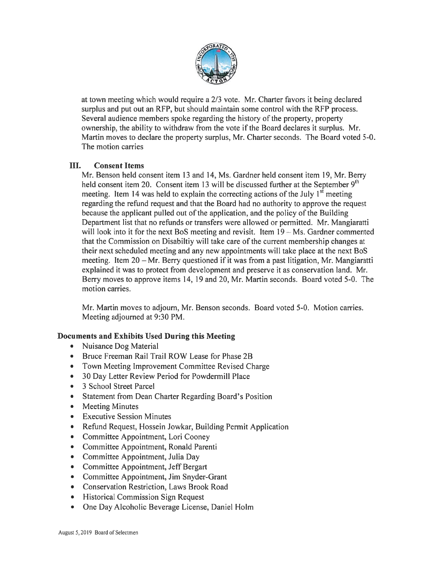

at town meeting which would require <sup>a</sup> 2/3 vote. Mr. Charter favors it being declared surplus and pu<sup>t</sup> out an RFP, but should maintain some control with the RFP process. Several audience members spoke regarding the history of the property, property ownership, the ability to withdraw from the vote if the Board declares it surplus. Mr. Martin moves to declare the property surplus, Mr. Charter seconds. The Board voted 5-0. The motion carries

## III. Consent Items

Mr. Benson held consent item 13 and 14, Ms. Gardner held consent item 19, Mr. Berry held consent item 20. Consent item 13 will be discussed further at the September  $9<sup>th</sup>$ meeting. Item 14 was held to explain the correcting actions of the July  $1<sup>st</sup>$  meeting regarding the refund reques<sup>t</sup> and that the Board had no authority to approve the reques<sup>t</sup> because the applicant pulled out of the application, and the policy of the Building Department list that no refunds or transfers were allowed or permitted. Mr. Mangiaratti will look into it for the next BoS meeting and revisit. Item 19 – Ms. Gardner commented that the Commission on Disabiltiy will take care of the current membership changes at their next scheduled meeting and any new appointments will take place at the next BoS meeting. Item 20— Mr. Berry questioned if it was from <sup>a</sup> pas<sup>t</sup> litigation, Mr. Mangiaratti explained it was to protect from development and preserve it as conservation land. Mr. Berry moves to approve items 14, 19 and 20, Mr. Martin seconds. Board voted 5-0. The motion carries.

Mr. Martin moves to adjourn, Mr. Benson seconds. Board voted 5-0. Motion carries. Meeting adjourned at 9:30 PM.

# Documents and Exhibits Used During this Meeting

- •Nuisance Dog Material
- •Bruce Freeman Rail Trail ROW Lease for Phase 2B
- •Town Meeting Improvement Committee Revised Charge
- •30 Day Letter Review Period for Powdermill Place
- •3 School Street Parcel
- $\bullet$ Statement from Dean Charter Regarding Board's Position
- •Meeting Minutes
- $\bullet$ Executive Session Minutes
- $\bullet$ Refund Request, Hossein Jowkar, Building Permit Application
- $\bullet$ Committee Appointment, Lori Cooney
- •Committee Appointment, Ronald Parenti
- •Committee Appointment, Julia Day
- •Committee Appointment, Jeff Bergart
- •Committee Appointment, Jim Snyder-Grant
- •Conservation Restriction, Laws Brook Road
- Historical Commission Sign Request
- One Day Alcoholic Beverage License, Daniel HoIm